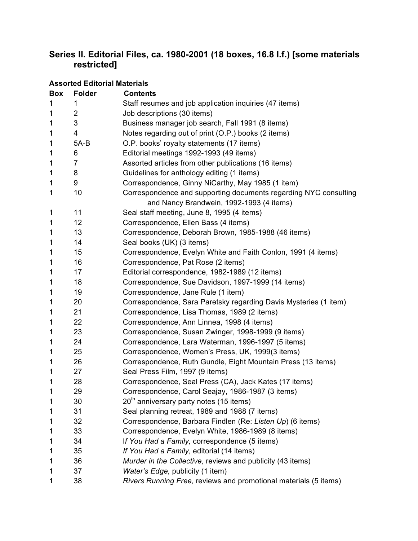### **Series II. Editorial Files, ca. 1980-2001 (18 boxes, 16.8 l.f.) [some materials restricted]**

**Assorted Editorial Materials**

### **Box Folder Contents** 1 Staff resumes and job application inquiries (47 items) 2 Job descriptions (30 items) 3 Business manager job search, Fall 1991 (8 items) 4 Notes regarding out of print (O.P.) books (2 items) 5A-B O.P. books' royalty statements (17 items) 6 Editorial meetings 1992-1993 (49 items) 7 Assorted articles from other publications (16 items) 8 Guidelines for anthology editing (1 items) 9 Correspondence, Ginny NiCarthy, May 1985 (1 item) 10 Correspondence and supporting documents regarding NYC consulting and Nancy Brandwein, 1992-1993 (4 items) 11 Seal staff meeting, June 8, 1995 (4 items) 12 Correspondence, Ellen Bass (4 items) 13 Correspondence, Deborah Brown, 1985-1988 (46 items) 14 Seal books (UK) (3 items) 15 Correspondence, Evelyn White and Faith Conlon, 1991 (4 items) 16 Correspondence, Pat Rose (2 items) 17 Editorial correspondence, 1982-1989 (12 items) 18 Correspondence, Sue Davidson, 1997-1999 (14 items) 1 19 Correspondence, Jane Rule (1 item) 20 Correspondence, Sara Paretsky regarding Davis Mysteries (1 item) 21 Correspondence, Lisa Thomas, 1989 (2 items) 22 Correspondence, Ann Linnea, 1998 (4 items) 23 Correspondence, Susan Zwinger, 1998-1999 (9 items) 24 Correspondence, Lara Waterman, 1996-1997 (5 items) 25 Correspondence, Women's Press, UK, 1999(3 items) 26 Correspondence, Ruth Gundle, Eight Mountain Press (13 items) 27 Seal Press Film, 1997 (9 items) 28 Correspondence, Seal Press (CA), Jack Kates (17 items) 29 Correspondence, Carol Seajay, 1986-1987 (3 items) 1  $20<sup>th</sup>$  anniversary party notes (15 items) 31 Seal planning retreat, 1989 and 1988 (7 items) 32 Correspondence, Barbara Findlen (Re: *Listen Up*) (6 items) 33 Correspondence, Evelyn White, 1986-1989 (8 items) 34 I*f You Had a Family,* correspondence (5 items) 35 *If You Had a Family,* editorial (14 items) 36 *Murder in the Collective,* reviews and publicity (43 items) 37 *Water's Edge,* publicity (1 item) 38 *Rivers Running Free,* reviews and promotional materials (5 items)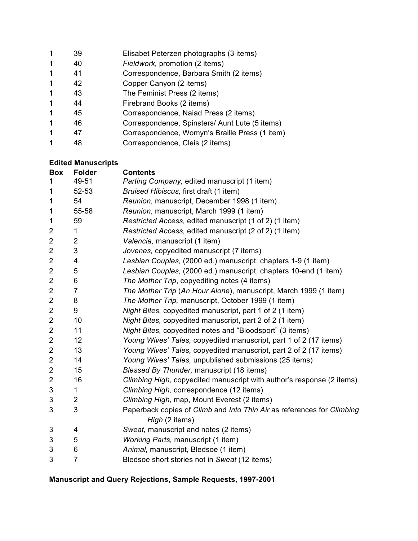| 1                    | 39 | Elisabet Peterzen photographs (3 items)        |
|----------------------|----|------------------------------------------------|
| $\mathbf 1$          | 40 | Fieldwork, promotion (2 items)                 |
| $\mathbf 1$          | 41 | Correspondence, Barbara Smith (2 items)        |
| $\blacktriangleleft$ | 42 | Copper Canyon (2 items)                        |
| $\mathbf 1$          | 43 | The Feminist Press (2 items)                   |
| $\mathbf 1$          | 44 | Firebrand Books (2 items)                      |
| $\mathbf 1$          | 45 | Correspondence, Naiad Press (2 items)          |
| $\blacktriangleleft$ | 46 | Correspondence, Spinsters/ Aunt Lute (5 items) |
| 1                    | 47 | Correspondence, Womyn's Braille Press (1 item) |
|                      | 48 | Correspondence, Cleis (2 items)                |

# **Edited Manuscripts**

| <b>Box</b>     | <b>Folder</b>  | <b>Contents</b>                                                        |
|----------------|----------------|------------------------------------------------------------------------|
| 1              | 49-51          | Parting Company, edited manuscript (1 item)                            |
| 1              | 52-53          | Bruised Hibiscus, first draft (1 item)                                 |
| $\mathbf 1$    | 54             | Reunion, manuscript, December 1998 (1 item)                            |
| 1              | 55-58          | Reunion, manuscript, March 1999 (1 item)                               |
| $\mathbf 1$    | 59             | Restricted Access, edited manuscript (1 of 2) (1 item)                 |
| $\overline{2}$ | 1              | Restricted Access, edited manuscript (2 of 2) (1 item)                 |
| $\overline{c}$ | 2              | Valencia, manuscript (1 item)                                          |
| 2              | 3              | Jovenes, copyedited manuscript (7 items)                               |
| 2              | 4              | Lesbian Couples, (2000 ed.) manuscript, chapters 1-9 (1 item)          |
| $\overline{2}$ | 5              | Lesbian Couples, (2000 ed.) manuscript, chapters 10-end (1 item)       |
| $\overline{2}$ | 6              | The Mother Trip, copyediting notes (4 items)                           |
| $\overline{2}$ | $\overline{7}$ | The Mother Trip (An Hour Alone), manuscript, March 1999 (1 item)       |
| $\overline{2}$ | 8              | The Mother Trip, manuscript, October 1999 (1 item)                     |
| $\overline{c}$ | 9              | Night Bites, copyedited manuscript, part 1 of 2 (1 item)               |
| $\overline{2}$ | 10             | Night Bites, copyedited manuscript, part 2 of 2 (1 item)               |
| $\overline{2}$ | 11             | Night Bites, copyedited notes and "Bloodsport" (3 items)               |
| 2              | 12             | Young Wives' Tales, copyedited manuscript, part 1 of 2 (17 items)      |
| $\overline{2}$ | 13             | Young Wives' Tales, copyedited manuscript, part 2 of 2 (17 items)      |
| $\overline{2}$ | 14             | Young Wives' Tales, unpublished submissions (25 items)                 |
| $\overline{2}$ | 15             | Blessed By Thunder, manuscript (18 items)                              |
| $\overline{2}$ | 16             | Climbing High, copyedited manuscript with author's response (2 items)  |
| 3              | 1              | Climbing High, correspondence (12 items)                               |
| 3              | 2              | Climbing High, map, Mount Everest (2 items)                            |
| 3              | 3              | Paperback copies of Climb and Into Thin Air as references for Climbing |
|                |                | High (2 items)                                                         |
| 3              | 4              | Sweat, manuscript and notes (2 items)                                  |
| 3              | 5              | Working Parts, manuscript (1 item)                                     |
| 3              | 6              | Animal, manuscript, Bledsoe (1 item)                                   |
| 3              | $\overline{7}$ | Bledsoe short stories not in Sweat (12 items)                          |

# **Manuscript and Query Rejections, Sample Requests, 1997-2001**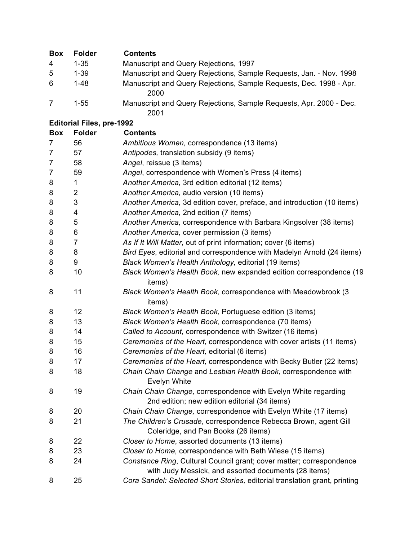| <b>Box</b>     | <b>Folder</b>                    | <b>Contents</b>                                                                                                              |
|----------------|----------------------------------|------------------------------------------------------------------------------------------------------------------------------|
| 4              | $1 - 35$                         | Manuscript and Query Rejections, 1997                                                                                        |
| 5              | $1 - 39$                         | Manuscript and Query Rejections, Sample Requests, Jan. - Nov. 1998                                                           |
| 6              | $1 - 48$                         | Manuscript and Query Rejections, Sample Requests, Dec. 1998 - Apr.<br>2000                                                   |
| $\overline{7}$ | $1 - 55$                         | Manuscript and Query Rejections, Sample Requests, Apr. 2000 - Dec.<br>2001                                                   |
|                | <b>Editorial Files, pre-1992</b> |                                                                                                                              |
| <b>Box</b>     | <b>Folder</b>                    | <b>Contents</b>                                                                                                              |
| 7              | 56                               | Ambitious Women, correspondence (13 items)                                                                                   |
| $\overline{7}$ | 57                               | Antipodes, translation subsidy (9 items)                                                                                     |
| $\overline{7}$ | 58                               | Angel, reissue (3 items)                                                                                                     |
| $\overline{7}$ | 59                               | Angel, correspondence with Women's Press (4 items)                                                                           |
| 8              | 1                                | Another America, 3rd edition editorial (12 items)                                                                            |
| 8              | 2                                | Another America, audio version (10 items)                                                                                    |
| 8              | 3                                | Another America, 3d edition cover, preface, and introduction (10 items)                                                      |
| 8              | 4                                | Another America, 2nd edition (7 items)                                                                                       |
| 8              | 5                                | Another America, correspondence with Barbara Kingsolver (38 items)                                                           |
| 8              | 6                                | Another America, cover permission (3 items)                                                                                  |
| 8              | 7                                | As If It Will Matter, out of print information; cover (6 items)                                                              |
| 8              | 8                                | Bird Eyes, editorial and correspondence with Madelyn Arnold (24 items)                                                       |
| 8              | 9                                | Black Women's Health Anthology, editorial (19 items)                                                                         |
| 8              | 10                               | Black Women's Health Book, new expanded edition correspondence (19<br>items)                                                 |
| 8              | 11                               | Black Women's Health Book, correspondence with Meadowbrook (3<br>items)                                                      |
| 8              | 12                               | Black Women's Health Book, Portuguese edition (3 items)                                                                      |
| 8              | 13                               | Black Women's Health Book, correspondence (70 items)                                                                         |
| 8              | 14                               | Called to Account, correspondence with Switzer (16 items)                                                                    |
| 8              | 15                               | Ceremonies of the Heart, correspondence with cover artists (11 items)                                                        |
| 8              | 16                               | Ceremonies of the Heart, editorial (6 items)                                                                                 |
| 8              | 17                               | Ceremonies of the Heart, correspondence with Becky Butler (22 items)                                                         |
| 8              | 18                               | Chain Chain Change and Lesbian Health Book, correspondence with<br><b>Evelyn White</b>                                       |
| 8              | 19                               | Chain Chain Change, correspondence with Evelyn White regarding<br>2nd edition; new edition editorial (34 items)              |
| 8              | 20                               | Chain Chain Change, correspondence with Evelyn White (17 items)                                                              |
| 8              | 21                               | The Children's Crusade, correspondence Rebecca Brown, agent Gill                                                             |
|                |                                  | Coleridge, and Pan Books (26 items)                                                                                          |
| 8              | 22                               | Closer to Home, assorted documents (13 items)                                                                                |
| 8              | 23                               | Closer to Home, correspondence with Beth Wiese (15 items)                                                                    |
| 8              | 24                               | Constance Ring, Cultural Council grant; cover matter; correspondence<br>with Judy Messick, and assorted documents (28 items) |
| 8              | 25                               | Cora Sandel: Selected Short Stories, editorial translation grant, printing                                                   |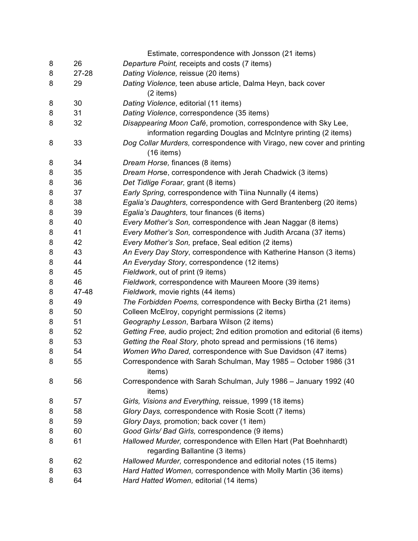|        |          | Estimate, correspondence with Jonsson (21 items)                                                                                  |
|--------|----------|-----------------------------------------------------------------------------------------------------------------------------------|
| 8      | 26       | Departure Point, receipts and costs (7 items)                                                                                     |
| 8      | 27-28    | Dating Violence, reissue (20 items)                                                                                               |
| 8      | 29       | Dating Violence, teen abuse article, Dalma Heyn, back cover                                                                       |
|        |          | (2 items)                                                                                                                         |
| 8      | 30       | Dating Violence, editorial (11 items)                                                                                             |
| 8      | 31       | Dating Violence, correspondence (35 items)                                                                                        |
| 8      | 32       | Disappearing Moon Café, promotion, correspondence with Sky Lee,                                                                   |
|        |          | information regarding Douglas and McIntyre printing (2 items)                                                                     |
| 8      | 33       | Dog Collar Murders, correspondence with Virago, new cover and printing<br>$(16$ items)                                            |
|        |          |                                                                                                                                   |
| 8      | 34       | Dream Horse, finances (8 items)                                                                                                   |
| 8      | 35<br>36 | Dream Horse, correspondence with Jerah Chadwick (3 items)                                                                         |
| 8      |          | Det Tidlige Foraar, grant (8 items)                                                                                               |
| 8      | 37       | Early Spring, correspondence with Tiina Nunnally (4 items)                                                                        |
| 8      | 38       | Egalia's Daughters, correspondence with Gerd Brantenberg (20 items)                                                               |
| 8<br>8 | 39<br>40 | Egalia's Daughters, tour finances (6 items)                                                                                       |
| 8      | 41       | Every Mother's Son, correspondence with Jean Naggar (8 items)<br>Every Mother's Son, correspondence with Judith Arcana (37 items) |
| 8      | 42       | Every Mother's Son, preface, Seal edition (2 items)                                                                               |
| 8      | 43       | An Every Day Story, correspondence with Katherine Hanson (3 items)                                                                |
| 8      | 44       | An Everyday Story, correspondence (12 items)                                                                                      |
| 8      | 45       | Fieldwork, out of print (9 items)                                                                                                 |
| 8      | 46       | Fieldwork, correspondence with Maureen Moore (39 items)                                                                           |
| 8      | 47-48    | Fieldwork, movie rights (44 items)                                                                                                |
| 8      | 49       | The Forbidden Poems, correspondence with Becky Birtha (21 items)                                                                  |
| 8      | 50       | Colleen McElroy, copyright permissions (2 items)                                                                                  |
| 8      | 51       | Geography Lesson, Barbara Wilson (2 items)                                                                                        |
| 8      | 52       | Getting Free, audio project; 2nd edition promotion and editorial (6 items)                                                        |
| 8      | 53       | Getting the Real Story, photo spread and permissions (16 items)                                                                   |
| 8      | 54       | Women Who Dared, correspondence with Sue Davidson (47 items)                                                                      |
| 8      | 55       | Correspondence with Sarah Schulman, May 1985 - October 1986 (31                                                                   |
|        |          | items)                                                                                                                            |
| 8      | 56       | Correspondence with Sarah Schulman, July 1986 - January 1992 (40<br>items)                                                        |
| 8      | 57       | Girls, Visions and Everything, reissue, 1999 (18 items)                                                                           |
| 8      | 58       | Glory Days, correspondence with Rosie Scott (7 items)                                                                             |
| 8      | 59       | Glory Days, promotion; back cover (1 item)                                                                                        |
| 8      | 60       | Good Girls/ Bad Girls, correspondence (9 items)                                                                                   |
| 8      | 61       | Hallowed Murder, correspondence with Ellen Hart (Pat Boehnhardt)                                                                  |
|        |          | regarding Ballantine (3 items)                                                                                                    |
| 8      | 62       | Hallowed Murder, correspondence and editorial notes (15 items)                                                                    |
| 8      | 63       | Hard Hatted Women, correspondence with Molly Martin (36 items)                                                                    |
| 8      | 64       | Hard Hatted Women, editorial (14 items)                                                                                           |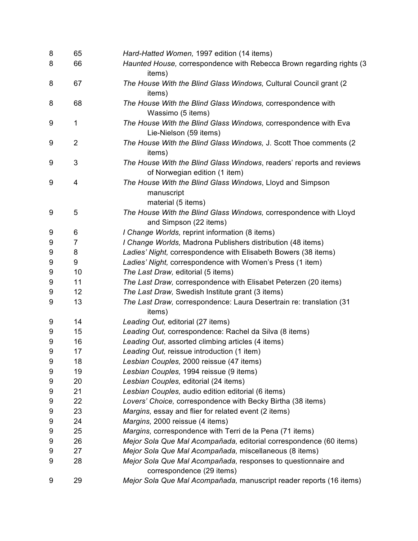| 8 | 65             | Hard-Hatted Women, 1997 edition (14 items)                                                            |
|---|----------------|-------------------------------------------------------------------------------------------------------|
| 8 | 66             | Haunted House, correspondence with Rebecca Brown regarding rights (3<br>items)                        |
| 8 | 67             | The House With the Blind Glass Windows, Cultural Council grant (2)<br>items)                          |
| 8 | 68             | The House With the Blind Glass Windows, correspondence with<br>Wassimo (5 items)                      |
| 9 | $\mathbf 1$    | The House With the Blind Glass Windows, correspondence with Eva<br>Lie-Nielson (59 items)             |
| 9 | $\overline{2}$ | The House With the Blind Glass Windows, J. Scott Thoe comments (2<br>items)                           |
| 9 | 3              | The House With the Blind Glass Windows, readers' reports and reviews<br>of Norwegian edition (1 item) |
| 9 | 4              | The House With the Blind Glass Windows, Lloyd and Simpson<br>manuscript<br>material (5 items)         |
| 9 | 5              | The House With the Blind Glass Windows, correspondence with Lloyd<br>and Simpson (22 items)           |
| 9 | 6              | I Change Worlds, reprint information (8 items)                                                        |
| 9 | 7              | I Change Worlds, Madrona Publishers distribution (48 items)                                           |
| 9 | 8              | Ladies' Night, correspondence with Elisabeth Bowers (38 items)                                        |
| 9 | 9              | Ladies' Night, correspondence with Women's Press (1 item)                                             |
| 9 | 10             | The Last Draw, editorial (5 items)                                                                    |
| 9 | 11             | The Last Draw, correspondence with Elisabet Peterzen (20 items)                                       |
| 9 | 12             | The Last Draw, Swedish Institute grant (3 items)                                                      |
| 9 | 13             | The Last Draw, correspondence: Laura Desertrain re: translation (31<br>items)                         |
| 9 | 14             | Leading Out, editorial (27 items)                                                                     |
| 9 | 15             | Leading Out, correspondence: Rachel da Silva (8 items)                                                |
| 9 | 16             | Leading Out, assorted climbing articles (4 items)                                                     |
| 9 | 17             | Leading Out, reissue introduction (1 item)                                                            |
| 9 | 18             | Lesbian Couples, 2000 reissue (47 items)                                                              |
| 9 | 19             | Lesbian Couples, 1994 reissue (9 items)                                                               |
| 9 | 20             | Lesbian Couples, editorial (24 items)                                                                 |
| 9 | 21             | Lesbian Couples, audio edition editorial (6 items)                                                    |
| 9 | 22             | Lovers' Choice, correspondence with Becky Birtha (38 items)                                           |
| 9 | 23             | Margins, essay and flier for related event (2 items)                                                  |
| 9 | 24             | Margins, 2000 reissue (4 items)                                                                       |
| 9 | 25             | Margins, correspondence with Terri de la Pena (71 items)                                              |
| 9 | 26             | Mejor Sola Que Mal Acompañada, editorial correspondence (60 items)                                    |
| 9 | 27             | Mejor Sola Que Mal Acompañada, miscellaneous (8 items)                                                |
| 9 | 28             | Mejor Sola Que Mal Acompañada, responses to questionnaire and<br>correspondence (29 items)            |
| 9 | 29             | Mejor Sola Que Mal Acompañada, manuscript reader reports (16 items)                                   |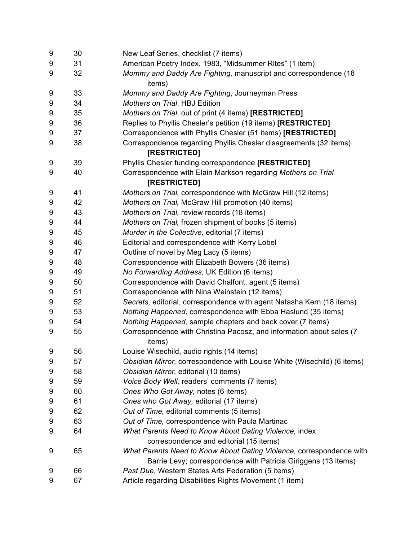| 9 | 30 | New Leaf Series, checklist (7 items)                                              |
|---|----|-----------------------------------------------------------------------------------|
| 9 | 31 | American Poetry Index, 1983, "Midsummer Rites" (1 item)                           |
| 9 | 32 | Mommy and Daddy Are Fighting, manuscript and correspondence (18<br>items)         |
| 9 | 33 | Mommy and Daddy Are Fighting, Journeyman Press                                    |
| 9 | 34 | Mothers on Trial, HBJ Edition                                                     |
| 9 | 35 | Mothers on Trial, out of print (4 items) [RESTRICTED]                             |
| 9 | 36 | Replies to Phyllis Chesler's petition (19 items) [RESTRICTED]                     |
| 9 | 37 | Correspondence with Phyllis Chesler (51 items) [RESTRICTED]                       |
| 9 | 38 | Correspondence regarding Phyllis Chesler disagreements (32 items)<br>[RESTRICTED] |
| 9 | 39 | Phyllis Chesler funding correspondence [RESTRICTED]                               |
| 9 | 40 | Correspondence with Elain Markson regarding Mothers on Trial                      |
|   |    | [RESTRICTED]                                                                      |
| 9 | 41 | Mothers on Trial, correspondence with McGraw Hill (12 items)                      |
| 9 | 42 | Mothers on Trial, McGraw Hill promotion (40 items)                                |
| 9 | 43 | Mothers on Trial, review records (18 items)                                       |
| 9 | 44 | Mothers on Trial, frozen shipment of books (5 items)                              |
| 9 | 45 | Murder in the Collective, editorial (7 items)                                     |
| 9 | 46 | Editorial and correspondence with Kerry Lobel                                     |
| 9 | 47 | Outline of novel by Meg Lacy (5 items)                                            |
| 9 | 48 | Correspondence with Elizabeth Bowers (36 items)                                   |
| 9 | 49 | No Forwarding Address, UK Edition (6 items)                                       |
| 9 | 50 | Correspondence with David Chalfont, agent (5 items)                               |
| 9 | 51 | Correspondence with Nina Weinstein (12 items)                                     |
| 9 | 52 | Secrets, editorial, correspondence with agent Natasha Kern (18 items)             |
| 9 | 53 | Nothing Happened, correspondence with Ebba Haslund (35 items)                     |
| 9 | 54 | Nothing Happened, sample chapters and back cover (7 items)                        |
| 9 | 55 | Correspondence with Christina Pacosz, and information about sales (7<br>items)    |
| 9 | 56 | Louise Wisechild, audio rights (14 items)                                         |
| 9 | 57 | Obsidian Mirror, correspondence with Louise White (Wisechild) (6 items)           |
| 9 | 58 | Obsidian Mirror, editorial (10 items)                                             |
| 9 | 59 | Voice Body Well, readers' comments (7 items)                                      |
| 9 | 60 | Ones Who Got Away, notes (6 items)                                                |
| 9 | 61 | Ones who Got Away, editorial (17 items)                                           |
| 9 | 62 | Out of Time, editorial comments (5 items)                                         |
| 9 | 63 | Out of Time, correspondence with Paula Martinac                                   |
| 9 | 64 | What Parents Need to Know About Dating Violence, index                            |
|   |    | correspondence and editorial (15 items)                                           |
| 9 | 65 | What Parents Need to Know About Dating Violence, correspondence with              |
|   |    | Barrie Levy; correspondence with Patricia Giriggens (13 items)                    |
| 9 | 66 | Past Due, Western States Arts Federation (5 items)                                |
| 9 | 67 | Article regarding Disabilities Rights Movement (1 item)                           |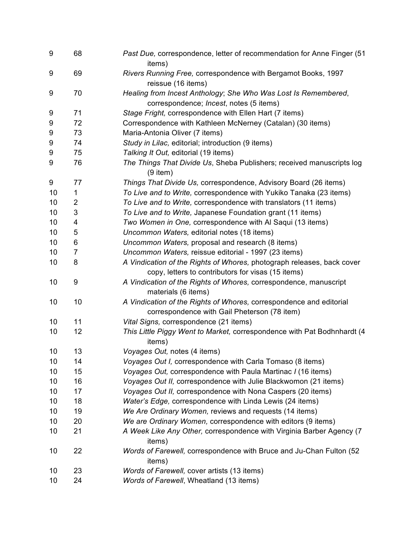| 9  | 68               | Past Due, correspondence, letter of recommendation for Anne Finger (51<br>items)         |
|----|------------------|------------------------------------------------------------------------------------------|
| 9  | 69               | Rivers Running Free, correspondence with Bergamot Books, 1997<br>reissue (16 items)      |
| 9  | 70               | Healing from Incest Anthology; She Who Was Lost Is Remembered,                           |
|    |                  | correspondence; Incest, notes (5 items)                                                  |
| 9  | 71               | Stage Fright, correspondence with Ellen Hart (7 items)                                   |
| 9  | 72               | Correspondence with Kathleen McNerney (Catalan) (30 items)                               |
| 9  | 73               | Maria-Antonia Oliver (7 items)                                                           |
| 9  | 74               | Study in Lilac, editorial; introduction (9 items)                                        |
| 9  | 75               | Talking It Out, editorial (19 items)                                                     |
| 9  | 76               | The Things That Divide Us, Sheba Publishers; received manuscripts log<br>$(9$ item)      |
| 9  | 77               | Things That Divide Us, correspondence, Advisory Board (26 items)                         |
| 10 | 1                | To Live and to Write, correspondence with Yukiko Tanaka (23 items)                       |
| 10 | 2                | To Live and to Write, correspondence with translators (11 items)                         |
| 10 | 3                | To Live and to Write, Japanese Foundation grant (11 items)                               |
| 10 | 4                | Two Women in One, correspondence with Al Saqui (13 items)                                |
| 10 | 5                | Uncommon Waters, editorial notes (18 items)                                              |
| 10 | 6                | Uncommon Waters, proposal and research (8 items)                                         |
| 10 | 7                | Uncommon Waters, reissue editorial - 1997 (23 items)                                     |
| 10 | 8                | A Vindication of the Rights of Whores, photograph releases, back cover                   |
|    |                  | copy, letters to contributors for visas (15 items)                                       |
| 10 | $\boldsymbol{9}$ | A Vindication of the Rights of Whores, correspondence, manuscript<br>materials (6 items) |
| 10 | 10               | A Vindication of the Rights of Whores, correspondence and editorial                      |
|    |                  | correspondence with Gail Pheterson (78 item)                                             |
| 10 | 11               | Vital Signs, correspondence (21 items)                                                   |
| 10 | 12               | This Little Piggy Went to Market, correspondence with Pat Bodhnhardt (4                  |
| 10 | 13               | items)<br>Voyages Out, notes (4 items)                                                   |
| 10 | 14               | Voyages Out I, correspondence with Carla Tomaso (8 items)                                |
| 10 | 15               | Voyages Out, correspondence with Paula Martinac I (16 items)                             |
| 10 | 16               | Voyages Out II, correspondence with Julie Blackwomon (21 items)                          |
| 10 | 17               | Voyages Out II, correspondence with Nona Caspers (20 items)                              |
| 10 | 18               | Water's Edge, correspondence with Linda Lewis (24 items)                                 |
| 10 | 19               | We Are Ordinary Women, reviews and requests (14 items)                                   |
| 10 | 20               | We are Ordinary Women, correspondence with editors (9 items)                             |
| 10 | 21               | A Week Like Any Other, correspondence with Virginia Barber Agency (7                     |
|    |                  | items)                                                                                   |
| 10 | 22               | Words of Farewell, correspondence with Bruce and Ju-Chan Fulton (52                      |
|    |                  | items)                                                                                   |
| 10 | 23               | Words of Farewell, cover artists (13 items)                                              |
| 10 | 24               | Words of Farewell, Wheatland (13 items)                                                  |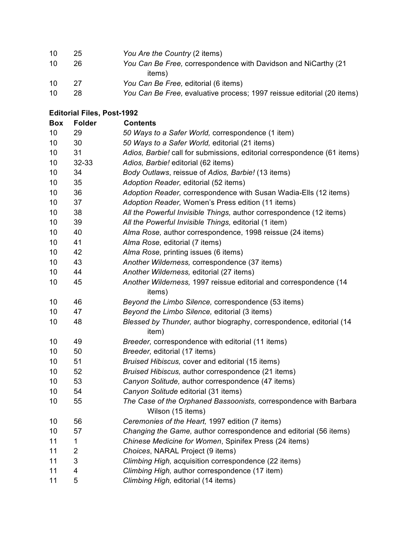| 10 | 25 | You Are the Country (2 items)                                          |
|----|----|------------------------------------------------------------------------|
| 10 | 26 | You Can Be Free, correspondence with Davidson and NiCarthy (21)        |
|    |    | items)                                                                 |
| 10 | 27 | You Can Be Free, editorial (6 items)                                   |
| 10 | 28 | You Can Be Free, evaluative process; 1997 reissue editorial (20 items) |

### **Editorial Files, Post-1992**

| <b>Box</b> | <b>Folder</b> | <b>Contents</b>                                                          |
|------------|---------------|--------------------------------------------------------------------------|
| 10         | 29            | 50 Ways to a Safer World, correspondence (1 item)                        |
| 10         | 30            | 50 Ways to a Safer World, editorial (21 items)                           |
| 10         | 31            | Adios, Barbie! call for submissions, editorial correspondence (61 items) |
| 10         | 32-33         | Adios, Barbie! editorial (62 items)                                      |
| 10         | 34            | Body Outlaws, reissue of Adios, Barbie! (13 items)                       |
| 10         | 35            | Adoption Reader, editorial (52 items)                                    |
| 10         | 36            | Adoption Reader, correspondence with Susan Wadia-Ells (12 items)         |
| 10         | 37            | Adoption Reader, Women's Press edition (11 items)                        |
| 10         | 38            | All the Powerful Invisible Things, author correspondence (12 items)      |
| 10         | 39            | All the Powerful Invisible Things, editorial (1 item)                    |
| 10         | 40            | Alma Rose, author correspondence, 1998 reissue (24 items)                |
| 10         | 41            | Alma Rose, editorial (7 items)                                           |
| 10         | 42            | Alma Rose, printing issues (6 items)                                     |
| 10         | 43            | Another Wilderness, correspondence (37 items)                            |
| 10         | 44            | Another Wilderness, editorial (27 items)                                 |
| 10         | 45            | Another Wilderness, 1997 reissue editorial and correspondence (14        |
|            |               | items)                                                                   |
| 10         | 46            | Beyond the Limbo Silence, correspondence (53 items)                      |
| 10         | 47            | Beyond the Limbo Silence, editorial (3 items)                            |
| 10         | 48            | Blessed by Thunder, author biography, correspondence, editorial (14      |
|            |               | item)                                                                    |
| 10         | 49            | Breeder, correspondence with editorial (11 items)                        |
| 10         | 50            | Breeder, editorial (17 items)                                            |
| 10         | 51            | Bruised Hibiscus, cover and editorial (15 items)                         |
| 10         | 52            | Bruised Hibiscus, author correspondence (21 items)                       |
| 10         | 53            | Canyon Solitude, author correspondence (47 items)                        |
| 10         | 54            | Canyon Solitude editorial (31 items)                                     |
| 10         | 55            | The Case of the Orphaned Bassoonists, correspondence with Barbara        |
|            |               | Wilson (15 items)                                                        |
| 10         | 56            | Ceremonies of the Heart, 1997 edition (7 items)                          |
| 10         | 57            | Changing the Game, author correspondence and editorial (56 items)        |
| 11         | 1             | Chinese Medicine for Women, Spinifex Press (24 items)                    |
| 11         | 2             | Choices, NARAL Project (9 items)                                         |
| 11         | 3             | Climbing High, acquisition correspondence (22 items)                     |
| 11         | 4             | Climbing High, author correspondence (17 item)                           |
| 11         | 5             | Climbing High, editorial (14 items)                                      |
|            |               |                                                                          |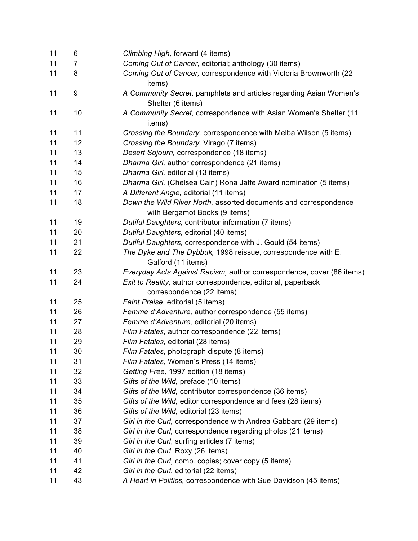| 11 | 6                | Climbing High, forward (4 items)                                            |
|----|------------------|-----------------------------------------------------------------------------|
| 11 | 7                | Coming Out of Cancer, editorial; anthology (30 items)                       |
| 11 | 8                | Coming Out of Cancer, correspondence with Victoria Brownworth (22<br>items) |
| 11 | $\boldsymbol{9}$ | A Community Secret, pamphlets and articles regarding Asian Women's          |
|    |                  | Shelter (6 items)                                                           |
| 11 | 10               | A Community Secret, correspondence with Asian Women's Shelter (11<br>items) |
| 11 | 11               | Crossing the Boundary, correspondence with Melba Wilson (5 items)           |
| 11 | 12               | Crossing the Boundary, Virago (7 items)                                     |
| 11 | 13               | Desert Sojourn, correspondence (18 items)                                   |
| 11 | 14               | Dharma Girl, author correspondence (21 items)                               |
| 11 | 15               | Dharma Girl, editorial (13 items)                                           |
| 11 | 16               | Dharma Girl, (Chelsea Cain) Rona Jaffe Award nomination (5 items)           |
| 11 | 17               | A Different Angle, editorial (11 items)                                     |
| 11 | 18               | Down the Wild River North, assorted documents and correspondence            |
|    |                  | with Bergamot Books (9 items)                                               |
| 11 | 19               | Dutiful Daughters, contributor information (7 items)                        |
| 11 | 20               | Dutiful Daughters, editorial (40 items)                                     |
| 11 | 21               | Dutiful Daughters, correspondence with J. Gould (54 items)                  |
| 11 | 22               | The Dyke and The Dybbuk, 1998 reissue, correspondence with E.               |
|    |                  | Galford (11 items)                                                          |
| 11 | 23               | Everyday Acts Against Racism, author correspondence, cover (86 items)       |
| 11 | 24               | Exit to Reality, author correspondence, editorial, paperback                |
|    |                  | correspondence (22 items)                                                   |
| 11 | 25               | Faint Praise, editorial (5 items)                                           |
| 11 | 26               | Femme d'Adventure, author correspondence (55 items)                         |
| 11 | 27               | Femme d'Adventure, editorial (20 items)                                     |
| 11 | 28               | Film Fatales, author correspondence (22 items)                              |
| 11 | 29               | Film Fatales, editorial (28 items)                                          |
| 11 | 30               | Film Fatales, photograph dispute (8 items)                                  |
| 11 | 31               | Film Fatales, Women's Press (14 items)                                      |
| 11 | 32               | Getting Free, 1997 edition (18 items)                                       |
| 11 | 33               | Gifts of the Wild, preface (10 items)                                       |
| 11 | 34               | Gifts of the Wild, contributor correspondence (36 items)                    |
| 11 | 35               | Gifts of the Wild, editor correspondence and fees (28 items)                |
| 11 | 36               | Gifts of the Wild, editorial (23 items)                                     |
| 11 | 37               | Girl in the Curl, correspondence with Andrea Gabbard (29 items)             |
| 11 | 38               | Girl in the Curl, correspondence regarding photos (21 items)                |
| 11 | 39               | Girl in the Curl, surfing articles (7 items)                                |
| 11 | 40               | Girl in the Curl, Roxy (26 items)                                           |
| 11 | 41               | Girl in the Curl, comp. copies; cover copy (5 items)                        |
| 11 | 42               | Girl in the Curl, editorial (22 items)                                      |
| 11 | 43               | A Heart in Politics, correspondence with Sue Davidson (45 items)            |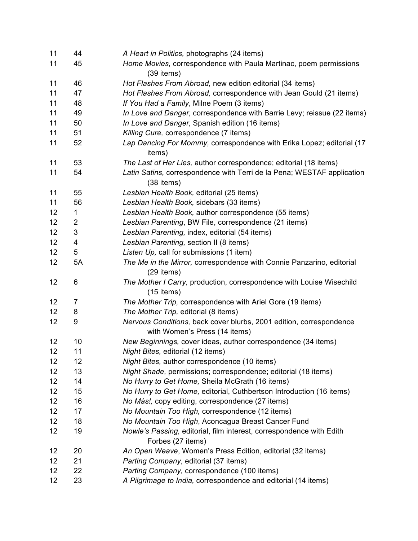| 11 | 44             | A Heart in Politics, photographs (24 items)                                                          |
|----|----------------|------------------------------------------------------------------------------------------------------|
| 11 | 45             | Home Movies, correspondence with Paula Martinac, poem permissions<br>$(39$ items)                    |
| 11 | 46             | Hot Flashes From Abroad, new edition editorial (34 items)                                            |
| 11 | 47             | Hot Flashes From Abroad, correspondence with Jean Gould (21 items)                                   |
| 11 | 48             | If You Had a Family, Milne Poem (3 items)                                                            |
| 11 | 49             | In Love and Danger, correspondence with Barrie Levy; reissue (22 items)                              |
| 11 | 50             | In Love and Danger, Spanish edition (16 items)                                                       |
| 11 | 51             | Killing Cure, correspondence (7 items)                                                               |
| 11 | 52             | Lap Dancing For Mommy, correspondence with Erika Lopez; editorial (17<br>items)                      |
| 11 | 53             | The Last of Her Lies, author correspondence; editorial (18 items)                                    |
| 11 | 54             | Latin Satins, correspondence with Terri de la Pena; WESTAF application<br>$(38$ items)               |
| 11 | 55             | Lesbian Health Book, editorial (25 items)                                                            |
| 11 | 56             | Lesbian Health Book, sidebars (33 items)                                                             |
| 12 | 1              | Lesbian Health Book, author correspondence (55 items)                                                |
| 12 | 2              | Lesbian Parenting, BW File, correspondence (21 items)                                                |
| 12 | 3              | Lesbian Parenting, index, editorial (54 items)                                                       |
| 12 | 4              | Lesbian Parenting, section II (8 items)                                                              |
| 12 | 5              | Listen Up, call for submissions (1 item)                                                             |
| 12 | 5A             | The Me in the Mirror, correspondence with Connie Panzarino, editorial<br>$(29$ items)                |
| 12 | 6              | The Mother I Carry, production, correspondence with Louise Wisechild<br>$(15$ items)                 |
| 12 | $\overline{7}$ | The Mother Trip, correspondence with Ariel Gore (19 items)                                           |
| 12 | 8              | The Mother Trip, editorial (8 items)                                                                 |
| 12 | 9              | Nervous Conditions, back cover blurbs, 2001 edition, correspondence<br>with Women's Press (14 items) |
| 12 | 10             | New Beginnings, cover ideas, author correspondence (34 items)                                        |
| 12 | 11             | Night Bites, editorial (12 items)                                                                    |
| 12 | 12             | Night Bites, author correspondence (10 items)                                                        |
| 12 | 13             | Night Shade, permissions; correspondence; editorial (18 items)                                       |
| 12 | 14             | No Hurry to Get Home, Sheila McGrath (16 items)                                                      |
| 12 | 15             | No Hurry to Get Home, editorial, Cuthbertson Introduction (16 items)                                 |
| 12 | 16             | No Más!, copy editing, correspondence (27 items)                                                     |
| 12 | 17             | No Mountain Too High, correspondence (12 items)                                                      |
| 12 | 18             | No Mountain Too High, Aconcagua Breast Cancer Fund                                                   |
| 12 | 19             | Nowle's Passing, editorial, film interest, correspondence with Edith                                 |
|    |                | Forbes (27 items)                                                                                    |
| 12 | 20             | An Open Weave, Women's Press Edition, editorial (32 items)                                           |
| 12 | 21             | Parting Company, editorial (37 items)                                                                |
| 12 | 22             | Parting Company, correspondence (100 items)                                                          |
| 12 | 23             | A Pilgrimage to India, correspondence and editorial (14 items)                                       |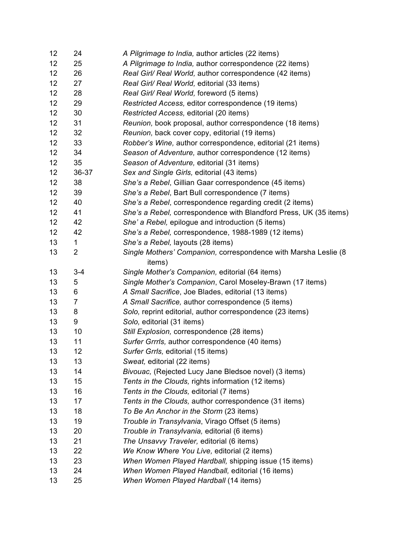| 12 | 24      | A Pilgrimage to India, author articles (22 items)                 |
|----|---------|-------------------------------------------------------------------|
| 12 | 25      | A Pilgrimage to India, author correspondence (22 items)           |
| 12 | 26      | Real Girl/ Real World, author correspondence (42 items)           |
| 12 | 27      | Real Girl/ Real World, editorial (33 items)                       |
| 12 | 28      | Real Girl/ Real World, foreword (5 items)                         |
| 12 | 29      | Restricted Access, editor correspondence (19 items)               |
| 12 | 30      | Restricted Access, editorial (20 items)                           |
| 12 | 31      | Reunion, book proposal, author correspondence (18 items)          |
| 12 | 32      | Reunion, back cover copy, editorial (19 items)                    |
| 12 | 33      | Robber's Wine, author correspondence, editorial (21 items)        |
| 12 | 34      | Season of Adventure, author correspondence (12 items)             |
| 12 | 35      | Season of Adventure, editorial (31 items)                         |
| 12 | 36-37   | Sex and Single Girls, editorial (43 items)                        |
| 12 | 38      | She's a Rebel, Gillian Gaar correspondence (45 items)             |
| 12 | 39      | She's a Rebel, Bart Bull correspondence (7 items)                 |
| 12 | 40      | She's a Rebel, correspondence regarding credit (2 items)          |
| 12 | 41      | She's a Rebel, correspondence with Blandford Press, UK (35 items) |
| 12 | 42      | She' a Rebel, epilogue and introduction (5 items)                 |
| 12 | 42      | She's a Rebel, correspondence, 1988-1989 (12 items)               |
| 13 | 1       | She's a Rebel, layouts (28 items)                                 |
| 13 | 2       | Single Mothers' Companion, correspondence with Marsha Leslie (8   |
|    |         | items)                                                            |
| 13 | $3 - 4$ | Single Mother's Companion, editorial (64 items)                   |
| 13 | 5       | Single Mother's Companion, Carol Moseley-Brawn (17 items)         |
| 13 | 6       | A Small Sacrifice, Joe Blades, editorial (13 items)               |
| 13 | 7       | A Small Sacrifice, author correspondence (5 items)                |
| 13 | 8       | Solo, reprint editorial, author correspondence (23 items)         |
| 13 | 9       | Solo, editorial (31 items)                                        |
| 13 | 10      | Still Explosion, correspondence (28 items)                        |
| 13 | 11      | Surfer Grrrls, author correspondence (40 items)                   |
| 13 | 12      | Surfer Grrls, editorial (15 items)                                |
| 13 | 13      | Sweat, editorial (22 items)                                       |
| 13 | 14      | Bivouac, (Rejected Lucy Jane Bledsoe novel) (3 items)             |
| 13 | 15      | Tents in the Clouds, rights information (12 items)                |
| 13 | 16      | Tents in the Clouds, editorial (7 items)                          |
| 13 | 17      | Tents in the Clouds, author correspondence (31 items)             |
| 13 | 18      | To Be An Anchor in the Storm (23 items)                           |
| 13 | 19      | Trouble in Transylvania, Virago Offset (5 items)                  |
| 13 | 20      | Trouble in Transylvania, editorial (6 items)                      |
| 13 | 21      | The Unsavvy Traveler, editorial (6 items)                         |
| 13 | 22      | We Know Where You Live, editorial (2 items)                       |
| 13 | 23      | When Women Played Hardball, shipping issue (15 items)             |
| 13 | 24      | When Women Played Handball, editorial (16 items)                  |
| 13 | 25      | When Women Played Hardball (14 items)                             |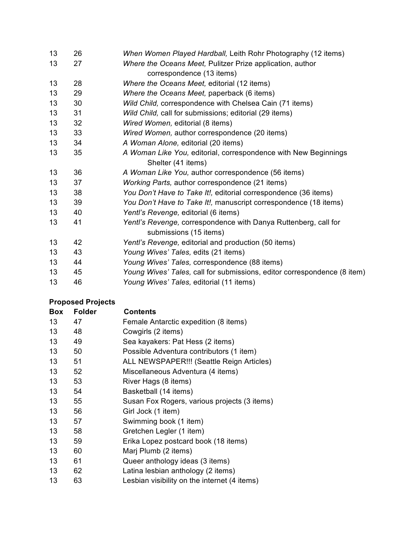| 13 | 26 | When Women Played Hardball, Leith Rohr Photography (12 items)            |
|----|----|--------------------------------------------------------------------------|
| 13 | 27 | Where the Oceans Meet, Pulitzer Prize application, author                |
|    |    | correspondence (13 items)                                                |
| 13 | 28 | Where the Oceans Meet, editorial (12 items)                              |
| 13 | 29 | Where the Oceans Meet, paperback (6 items)                               |
| 13 | 30 | Wild Child, correspondence with Chelsea Cain (71 items)                  |
| 13 | 31 | Wild Child, call for submissions; editorial (29 items)                   |
| 13 | 32 | Wired Women, editorial (8 items)                                         |
| 13 | 33 | Wired Women, author correspondence (20 items)                            |
| 13 | 34 | A Woman Alone, editorial (20 items)                                      |
| 13 | 35 | A Woman Like You, editorial, correspondence with New Beginnings          |
|    |    | Shelter (41 items)                                                       |
| 13 | 36 | A Woman Like You, author correspondence (56 items)                       |
| 13 | 37 | Working Parts, author correspondence (21 items)                          |
| 13 | 38 | You Don't Have to Take It!, editorial correspondence (36 items)          |
| 13 | 39 | You Don't Have to Take It!, manuscript correspondence (18 items)         |
| 13 | 40 | Yentl's Revenge, editorial (6 items)                                     |
| 13 | 41 | Yentl's Revenge, correspondence with Danya Ruttenberg, call for          |
|    |    | submissions (15 items)                                                   |
| 13 | 42 | Yentl's Revenge, editorial and production (50 items)                     |
| 13 | 43 | Young Wives' Tales, edits (21 items)                                     |
| 13 | 44 | Young Wives' Tales, correspondence (88 items)                            |
| 13 | 45 | Young Wives' Tales, call for submissions, editor correspondence (8 item) |
| 13 | 46 | Young Wives' Tales, editorial (11 items)                                 |
|    |    |                                                                          |

# **Proposed Projects**

| <b>Folder</b> | <b>Contents</b>                              |
|---------------|----------------------------------------------|
| 47            | Female Antarctic expedition (8 items)        |
| 48            | Cowgirls (2 items)                           |
| 49            | Sea kayakers: Pat Hess (2 items)             |
| 50            | Possible Adventura contributors (1 item)     |
| 51            | ALL NEWSPAPER!!! (Seattle Reign Articles)    |
| 52            | Miscellaneous Adventura (4 items)            |
| 53            | River Hags (8 items)                         |
| 54            | Basketball (14 items)                        |
| 55            | Susan Fox Rogers, various projects (3 items) |
| 56            | Girl Jock (1 item)                           |
| 57            | Swimming book (1 item)                       |
| 58            | Gretchen Legler (1 item)                     |
| 59            | Erika Lopez postcard book (18 items)         |
| 60            | Marj Plumb (2 items)                         |
| 61            | Queer anthology ideas (3 items)              |
| 62            | Latina lesbian anthology (2 items)           |
| 63            | Lesbian visibility on the internet (4 items) |
|               |                                              |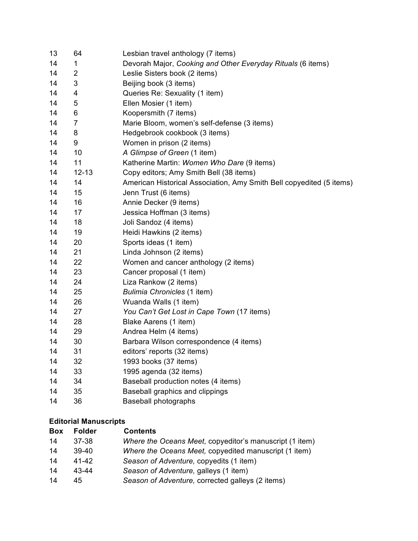| 13 | 64           | Lesbian travel anthology (7 items)                                   |
|----|--------------|----------------------------------------------------------------------|
| 14 | $\mathbf{1}$ | Devorah Major, Cooking and Other Everyday Rituals (6 items)          |
| 14 | 2            | Leslie Sisters book (2 items)                                        |
| 14 | 3            | Beijing book (3 items)                                               |
| 14 | 4            | Queries Re: Sexuality (1 item)                                       |
| 14 | 5            | Ellen Mosier (1 item)                                                |
| 14 | 6            | Koopersmith (7 items)                                                |
| 14 | 7            | Marie Bloom, women's self-defense (3 items)                          |
| 14 | 8            | Hedgebrook cookbook (3 items)                                        |
| 14 | 9            | Women in prison (2 items)                                            |
| 14 | 10           | A Glimpse of Green (1 item)                                          |
| 14 | 11           | Katherine Martin: Women Who Dare (9 items)                           |
| 14 | $12 - 13$    | Copy editors; Amy Smith Bell (38 items)                              |
| 14 | 14           | American Historical Association, Amy Smith Bell copyedited (5 items) |
| 14 | 15           | Jenn Trust (6 items)                                                 |
| 14 | 16           | Annie Decker (9 items)                                               |
| 14 | 17           | Jessica Hoffman (3 items)                                            |
| 14 | 18           | Joli Sandoz (4 items)                                                |
| 14 | 19           | Heidi Hawkins (2 items)                                              |
| 14 | 20           | Sports ideas (1 item)                                                |
| 14 | 21           | Linda Johnson (2 items)                                              |
| 14 | 22           | Women and cancer anthology (2 items)                                 |
| 14 | 23           | Cancer proposal (1 item)                                             |
| 14 | 24           | Liza Rankow (2 items)                                                |
| 14 | 25           | Bulimia Chronicles (1 item)                                          |
| 14 | 26           | Wuanda Walls (1 item)                                                |
| 14 | 27           | You Can't Get Lost in Cape Town (17 items)                           |
| 14 | 28           | Blake Aarens (1 item)                                                |
| 14 | 29           | Andrea Helm (4 items)                                                |
| 14 | 30           | Barbara Wilson correspondence (4 items)                              |
| 14 | 31           | editors' reports (32 items)                                          |
| 14 | 32           | 1993 books (37 items)                                                |
| 14 | 33           | 1995 agenda (32 items)                                               |
| 14 | 34           | Baseball production notes (4 items)                                  |
| 14 | 35           | Baseball graphics and clippings                                      |
| 14 | 36           | <b>Baseball photographs</b>                                          |

#### **Editorial Manuscripts**

| <b>Box</b> | <b>Folder</b> | <b>Contents</b>                                         |
|------------|---------------|---------------------------------------------------------|
| 14         | 37-38         | Where the Oceans Meet, copyeditor's manuscript (1 item) |
| 14         | $39-40$       | Where the Oceans Meet, copyedited manuscript (1 item)   |
| 14         | 41-42         | Season of Adventure, copyedits (1 item)                 |
| 14         | 43-44         | Season of Adventure, galleys (1 item)                   |
| 14         | 45            | Season of Adventure, corrected galleys (2 items)        |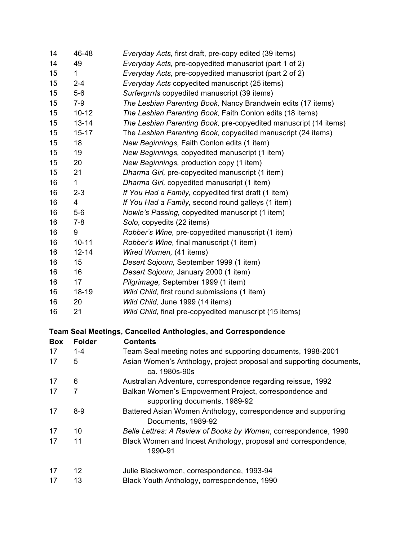| 14         | 46-48          | Everyday Acts, first draft, pre-copy edited (39 items)                                  |
|------------|----------------|-----------------------------------------------------------------------------------------|
| 14         | 49             | Everyday Acts, pre-copyedited manuscript (part 1 of 2)                                  |
| 15         | 1              | Everyday Acts, pre-copyedited manuscript (part 2 of 2)                                  |
| 15         | $2 - 4$        | Everyday Acts copyedited manuscript (25 items)                                          |
| 15         | $5-6$          | Surfergrrrls copyedited manuscript (39 items)                                           |
| 15         | $7-9$          | The Lesbian Parenting Book, Nancy Brandwein edits (17 items)                            |
| 15         | $10 - 12$      | The Lesbian Parenting Book, Faith Conlon edits (18 items)                               |
| 15         | $13 - 14$      | The Lesbian Parenting Book, pre-copyedited manuscript (14 items)                        |
| 15         | $15 - 17$      | The Lesbian Parenting Book, copyedited manuscript (24 items)                            |
| 15         | 18             | New Beginnings, Faith Conlon edits (1 item)                                             |
| 15         | 19             | New Beginnings, copyedited manuscript (1 item)                                          |
| 15         | 20             | New Beginnings, production copy (1 item)                                                |
| 15         | 21             | Dharma Girl, pre-copyedited manuscript (1 item)                                         |
| 16         | $\mathbf{1}$   | Dharma Girl, copyedited manuscript (1 item)                                             |
| 16         | $2 - 3$        | If You Had a Family, copyedited first draft (1 item)                                    |
| 16         | 4              | If You Had a Family, second round galleys (1 item)                                      |
| 16         | $5-6$          | Nowle's Passing, copyedited manuscript (1 item)                                         |
| 16         | $7 - 8$        | Solo, copyedits (22 items)                                                              |
| 16         | 9              | Robber's Wine, pre-copyedited manuscript (1 item)                                       |
| 16         | $10 - 11$      | Robber's Wine, final manuscript (1 item)                                                |
| 16         | $12 - 14$      | Wired Women, (41 items)                                                                 |
| 16         | 15             | Desert Sojourn, September 1999 (1 item)                                                 |
| 16         | 16             | Desert Sojourn, January 2000 (1 item)                                                   |
| 16         | 17             | Pilgrimage, September 1999 (1 item)                                                     |
| 16         | 18-19          | Wild Child, first round submissions (1 item)                                            |
| 16         | 20             | Wild Child, June 1999 (14 items)                                                        |
| 16         | 21             | Wild Child, final pre-copyedited manuscript (15 items)                                  |
|            |                | <b>Team Seal Meetings, Cancelled Anthologies, and Correspondence</b>                    |
| <b>Box</b> | <b>Folder</b>  | <b>Contents</b>                                                                         |
| 17         | $1 - 4$        | Team Seal meeting notes and supporting documents, 1998-2001                             |
| 17         | 5              | Asian Women's Anthology, project proposal and supporting documents,<br>ca. 1980s-90s    |
| 17         | 6              | Australian Adventure, correspondence regarding reissue, 1992                            |
| 17         | $\overline{7}$ | Balkan Women's Empowerment Project, correspondence and<br>supporting documents, 1989-92 |
| 17         | $8-9$          | Battered Asian Women Anthology, correspondence and supporting<br>Documents, 1989-92     |
| 17         | 10             | Belle Lettres: A Review of Books by Women, correspondence, 1990                         |
| 17         | 11             | Black Women and Incest Anthology, proposal and correspondence,<br>1990-91               |
| 17         | 12             | Julie Blackwomon, correspondence, 1993-94                                               |
| 17         | 13             | Black Youth Anthology, correspondence, 1990                                             |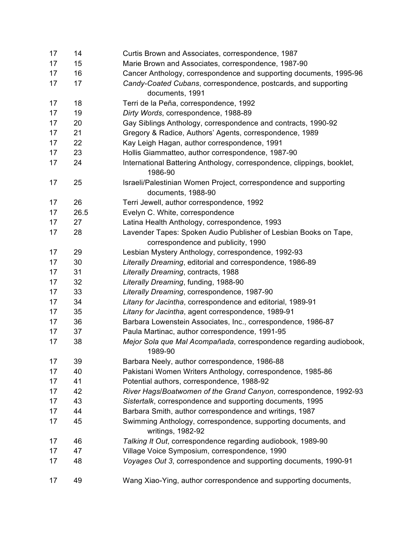| 17 | 14   | Curtis Brown and Associates, correspondence, 1987                                      |
|----|------|----------------------------------------------------------------------------------------|
| 17 | 15   | Marie Brown and Associates, correspondence, 1987-90                                    |
| 17 | 16   | Cancer Anthology, correspondence and supporting documents, 1995-96                     |
| 17 | 17   | Candy-Coated Cubans, correspondence, postcards, and supporting<br>documents, 1991      |
| 17 | 18   | Terri de la Peña, correspondence, 1992                                                 |
| 17 | 19   | Dirty Words, correspondence, 1988-89                                                   |
| 17 | 20   | Gay Siblings Anthology, correspondence and contracts, 1990-92                          |
| 17 | 21   | Gregory & Radice, Authors' Agents, correspondence, 1989                                |
| 17 | 22   | Kay Leigh Hagan, author correspondence, 1991                                           |
| 17 | 23   | Hollis Giammatteo, author correspondence, 1987-90                                      |
| 17 | 24   | International Battering Anthology, correspondence, clippings, booklet,<br>1986-90      |
| 17 | 25   | Israeli/Palestinian Women Project, correspondence and supporting<br>documents, 1988-90 |
| 17 | 26   | Terri Jewell, author correspondence, 1992                                              |
| 17 | 26.5 | Evelyn C. White, correspondence                                                        |
| 17 | 27   | Latina Health Anthology, correspondence, 1993                                          |
| 17 | 28   | Lavender Tapes: Spoken Audio Publisher of Lesbian Books on Tape,                       |
|    |      | correspondence and publicity, 1990                                                     |
| 17 | 29   | Lesbian Mystery Anthology, correspondence, 1992-93                                     |
| 17 | 30   | Literally Dreaming, editorial and correspondence, 1986-89                              |
| 17 | 31   | Literally Dreaming, contracts, 1988                                                    |
| 17 | 32   | Literally Dreaming, funding, 1988-90                                                   |
| 17 | 33   | Literally Dreaming, correspondence, 1987-90                                            |
| 17 | 34   | Litany for Jacintha, correspondence and editorial, 1989-91                             |
| 17 | 35   | Litany for Jacintha, agent correspondence, 1989-91                                     |
| 17 | 36   | Barbara Lowenstein Associates, Inc., correspondence, 1986-87                           |
| 17 | 37   | Paula Martinac, author correspondence, 1991-95                                         |
| 17 | 38   | Mejor Sola que Mal Acompañada, correspondence regarding audiobook,<br>1989-90          |
| 17 | 39   | Barbara Neely, author correspondence, 1986-88                                          |
| 17 | 40   | Pakistani Women Writers Anthology, correspondence, 1985-86                             |
| 17 | 41   | Potential authors, correspondence, 1988-92                                             |
| 17 | 42   | River Hags/Boatwomen of the Grand Canyon, correspondence, 1992-93                      |
| 17 | 43   | Sistertalk, correspondence and supporting documents, 1995                              |
| 17 | 44   | Barbara Smith, author correspondence and writings, 1987                                |
| 17 | 45   | Swimming Anthology, correspondence, supporting documents, and<br>writings, 1982-92     |
| 17 | 46   | Talking It Out, correspondence regarding audiobook, 1989-90                            |
| 17 | 47   | Village Voice Symposium, correspondence, 1990                                          |
| 17 | 48   | Voyages Out 3, correspondence and supporting documents, 1990-91                        |
| 17 | 49   | Wang Xiao-Ying, author correspondence and supporting documents,                        |